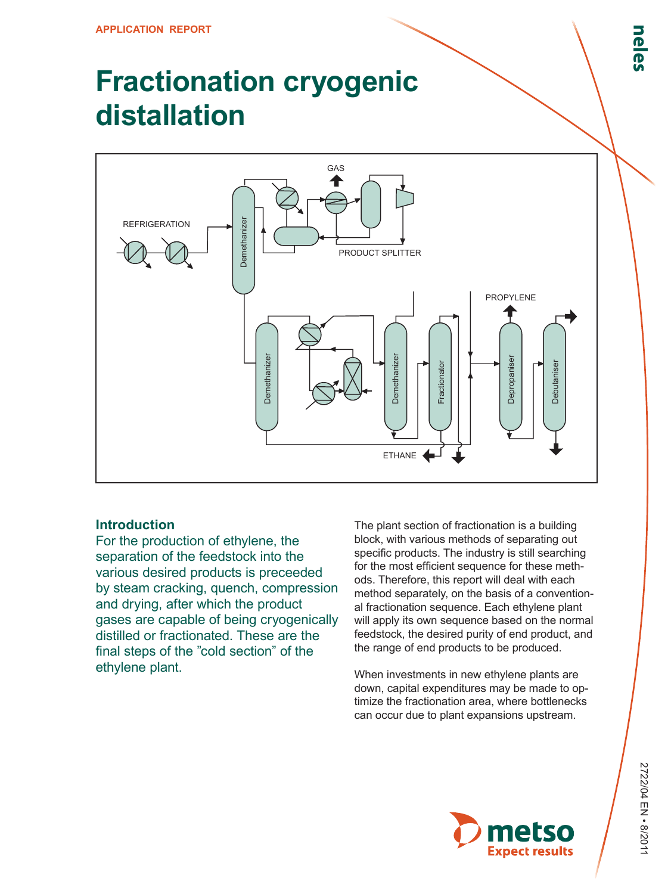## **Fractionation cryogenic distallation**



## **Introduction**

For the production of ethylene, the separation of the feedstock into the various desired products is preceeded by steam cracking, quench, compression and drying, after which the product gases are capable of being cryogenically distilled or fractionated. These are the final steps of the "cold section" of the ethylene plant.

The plant section of fractionation is a building block, with various methods of separating out specific products. The industry is still searching for the most efficient sequence for these methods. Therefore, this report will deal with each method separately, on the basis of a conventional fractionation sequence. Each ethylene plant will apply its own sequence based on the normal feedstock, the desired purity of end product, and the range of end products to be produced.

When investments in new ethylene plants are down, capital expenditures may be made to optimize the fractionation area, where bottlenecks can occur due to plant expansions upstream.